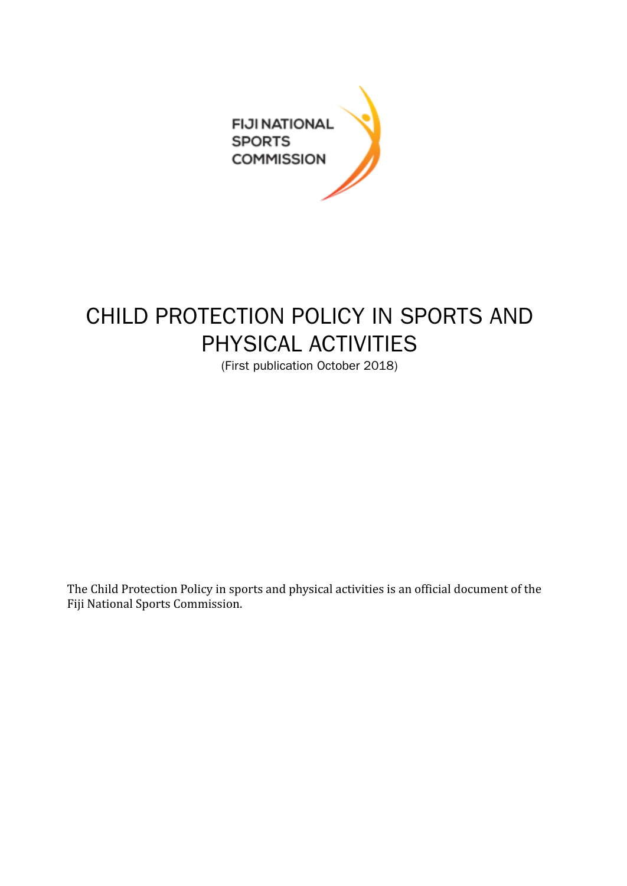

## CHILD PROTECTION POLICY IN SPORTS AND PHYSICAL ACTIVITIES

(First publication October 2018)

The Child Protection Policy in sports and physical activities is an official document of the Fiji National Sports Commission.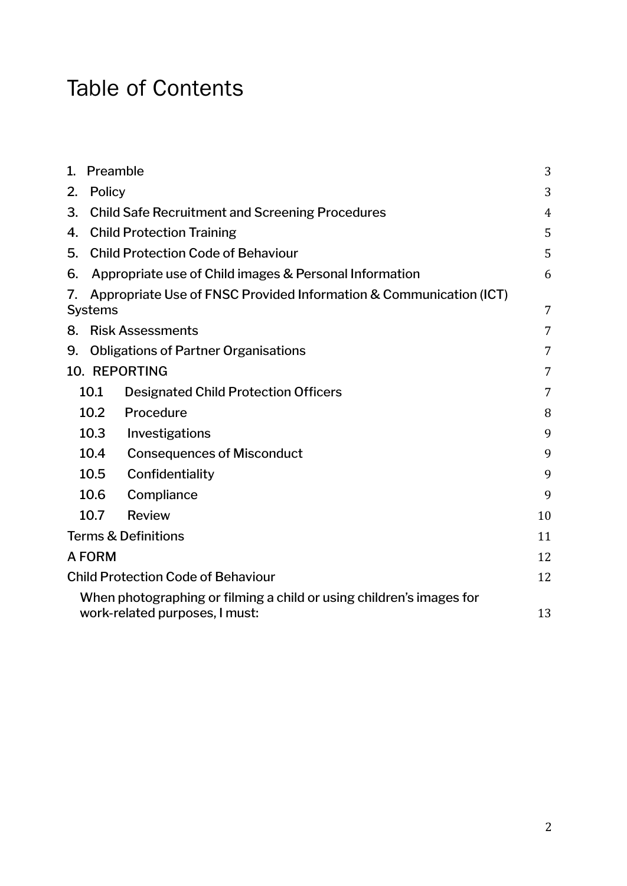# Table of Contents

| 1. | Preamble<br>3                                          |                                                                                                        |    |  |  |
|----|--------------------------------------------------------|--------------------------------------------------------------------------------------------------------|----|--|--|
| 2. | Policy                                                 |                                                                                                        |    |  |  |
| 3. | <b>Child Safe Recruitment and Screening Procedures</b> |                                                                                                        |    |  |  |
| 4. | <b>Child Protection Training</b>                       |                                                                                                        |    |  |  |
| 5. | <b>Child Protection Code of Behaviour</b>              |                                                                                                        |    |  |  |
| 6. | Appropriate use of Child images & Personal Information |                                                                                                        |    |  |  |
| 7. | <b>Systems</b>                                         | Appropriate Use of FNSC Provided Information & Communication (ICT)                                     | 7  |  |  |
| 8. | <b>Risk Assessments</b><br>7                           |                                                                                                        |    |  |  |
| 9. | <b>Obligations of Partner Organisations</b><br>7       |                                                                                                        |    |  |  |
|    | 10. REPORTING<br>7                                     |                                                                                                        |    |  |  |
|    | 10.1                                                   | <b>Designated Child Protection Officers</b>                                                            | 7  |  |  |
|    | 10.2                                                   | Procedure                                                                                              | 8  |  |  |
|    | 10.3                                                   | Investigations                                                                                         | 9  |  |  |
|    | 10.4                                                   | <b>Consequences of Misconduct</b>                                                                      | 9  |  |  |
|    | 10.5                                                   | Confidentiality                                                                                        | 9  |  |  |
|    | 10.6                                                   | Compliance                                                                                             | 9  |  |  |
|    | 10.7                                                   | <b>Review</b>                                                                                          | 10 |  |  |
|    | <b>Terms &amp; Definitions</b>                         |                                                                                                        |    |  |  |
|    | A FORM                                                 |                                                                                                        |    |  |  |
|    | <b>Child Protection Code of Behaviour</b>              |                                                                                                        |    |  |  |
|    |                                                        | When photographing or filming a child or using children's images for<br>work-related purposes, I must: | 13 |  |  |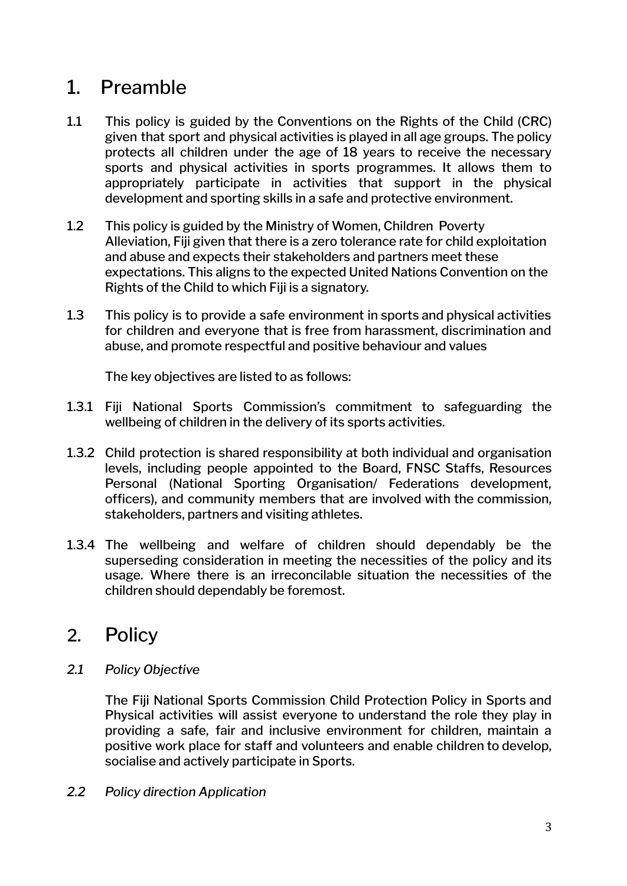### <span id="page-2-0"></span>1. Preamble

- 1.1 This policy is guided by the Conventions on the Rights of the Child (CRC) given that sport and physical activities is played in all age groups. The policy protects all children under the age of 18 years to receive the necessary sports and physical activities in sports programmes. It allows them to appropriately participate in activities that support in the physical development and sporting skills in a safe and protective environment.
- 1.2 This policy is guided by the Ministry of Women, Children Poverty Alleviation, Fiji given that there is a zero tolerance rate for child exploitation and abuse and expects their stakeholders and partners meet these expectations. This aligns to the expected United Nations Convention on the Rights of the Child to which Fiji is a signatory.
- 1.3 This policy is to provide a safe environment in sports and physical activities for children and everyone that is free from harassment, discrimination and abuse, and promote respectful and positive behaviour and values

The key objectives are listed to as follows:

- 1.3.1 Fiji National Sports Commission's commitment to safeguarding the wellbeing of children in the delivery of its sports activities.
- 1.3.2 Child protection is shared responsibility at both individual and organisation levels, including people appointed to the Board, FNSC Staffs, Resources Personal (National Sporting Organisation/ Federations development, officers), and community members that are involved with the commission, stakeholders, partners and visiting athletes.
- 1.3.4 The wellbeing and welfare of children should dependably be the superseding consideration in meeting the necessities of the policy and its usage. Where there is an irreconcilable situation the necessities of the children should dependably be foremost.

#### <span id="page-2-1"></span>2. Policy

*2.1 Policy Objective*

The Fiji National Sports Commission Child Protection Policy in Sports and Physical activities will assist everyone to understand the role they play in providing a safe, fair and inclusive environment for children, maintain a positive work place for staff and volunteers and enable children to develop, socialise and actively participate in Sports.

*2.2 Policy direction Application*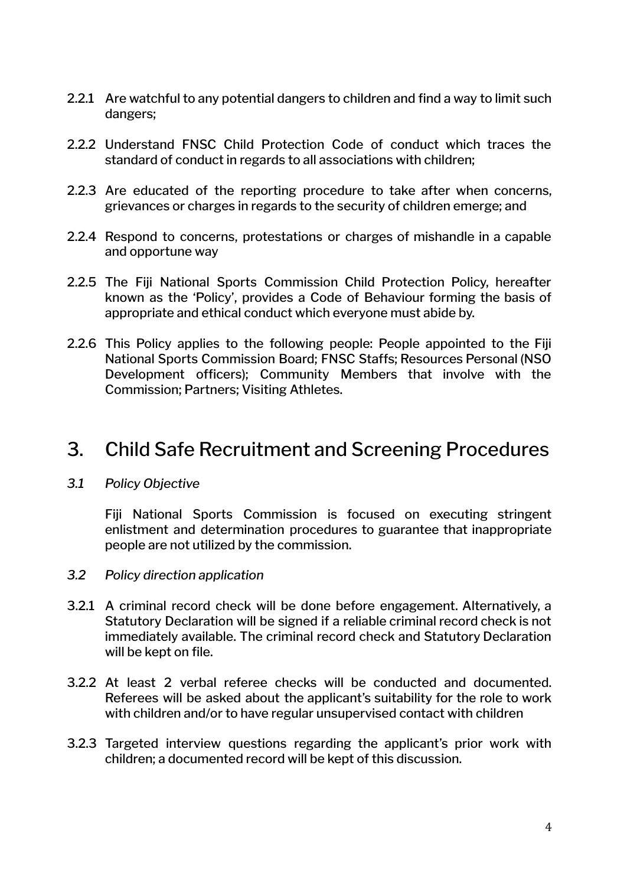- 2.2.1 Are watchful to any potential dangers to children and find a way to limit such dangers;
- 2.2.2 Understand FNSC Child Protection Code of conduct which traces the standard of conduct in regards to all associations with children;
- 2.2.3 Are educated of the reporting procedure to take after when concerns, grievances or charges in regards to the security of children emerge; and
- 2.2.4 Respond to concerns, protestations or charges of mishandle in a capable and opportune way
- 2.2.5 The Fiji National Sports Commission Child Protection Policy, hereafter known as the 'Policy', provides a Code of Behaviour forming the basis of appropriate and ethical conduct which everyone must abide by.
- 2.2.6 This Policy applies to the following people: People appointed to the Fiji National Sports Commission Board; FNSC Staffs; Resources Personal (NSO Development officers); Community Members that involve with the Commission; Partners; Visiting Athletes.

#### <span id="page-3-0"></span>3. Child Safe Recruitment and Screening Procedures

#### *3.1 Policy Objective*

Fiji National Sports Commission is focused on executing stringent enlistment and determination procedures to guarantee that inappropriate people are not utilized by the commission.

- *3.2 Policy direction application*
- 3.2.1 A criminal record check will be done before engagement. Alternatively, a Statutory Declaration will be signed if a reliable criminal record check is not immediately available. The criminal record check and Statutory Declaration will be kept on file.
- 3.2.2 At least 2 verbal referee checks will be conducted and documented. Referees will be asked about the applicant's suitability for the role to work with children and/or to have regular unsupervised contact with children
- 3.2.3 Targeted interview questions regarding the applicant's prior work with children; a documented record will be kept of this discussion.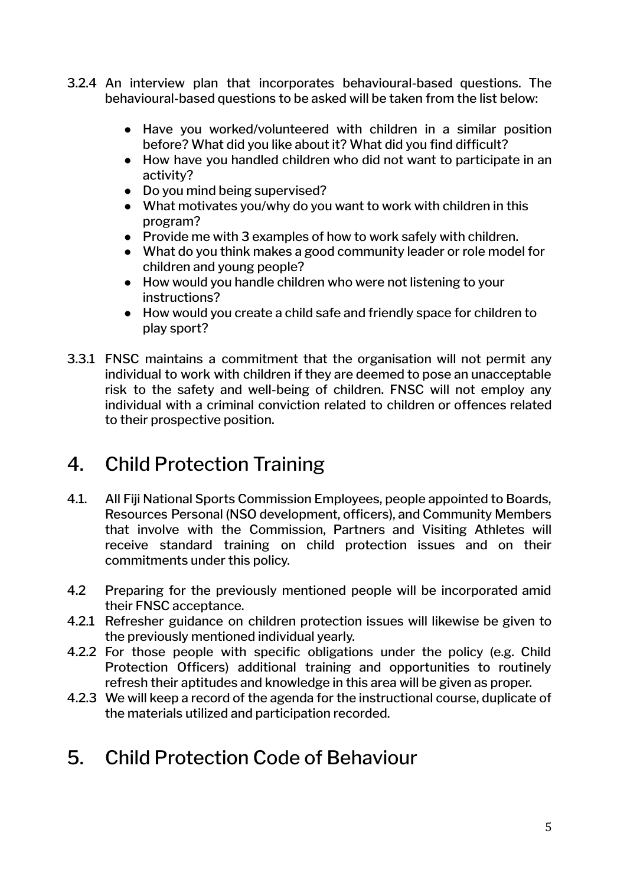- 3.2.4 An interview plan that incorporates behavioural-based questions. The behavioural-based questions to be asked will be taken from the list below:
	- Have you worked/volunteered with children in a similar position before? What did you like about it? What did you find difficult?
	- How have you handled children who did not want to participate in an activity?
	- Do you mind being supervised?
	- What motivates you/why do you want to work with children in this program?
	- Provide me with 3 examples of how to work safely with children.
	- What do you think makes a good community leader or role model for children and young people?
	- How would you handle children who were not listening to your instructions?
	- How would you create a child safe and friendly space for children to play sport?
- 3.3.1 FNSC maintains a commitment that the organisation will not permit any individual to work with children if they are deemed to pose an unacceptable risk to the safety and well-being of children. FNSC will not employ any individual with a criminal conviction related to children or offences related to their prospective position.

### <span id="page-4-0"></span>4. Child Protection Training

- 4.1. All Fiji National Sports Commission Employees, people appointed to Boards, Resources Personal (NSO development, officers), and Community Members that involve with the Commission, Partners and Visiting Athletes will receive standard training on child protection issues and on their commitments under this policy.
- 4.2 Preparing for the previously mentioned people will be incorporated amid their FNSC acceptance.
- 4.2.1 Refresher guidance on children protection issues will likewise be given to the previously mentioned individual yearly.
- 4.2.2 For those people with specific obligations under the policy (e.g. Child Protection Officers) additional training and opportunities to routinely refresh their aptitudes and knowledge in this area will be given as proper.
- 4.2.3 We will keep a record of the agenda for the instructional course, duplicate of the materials utilized and participation recorded.
- <span id="page-4-1"></span>5. Child Protection Code of Behaviour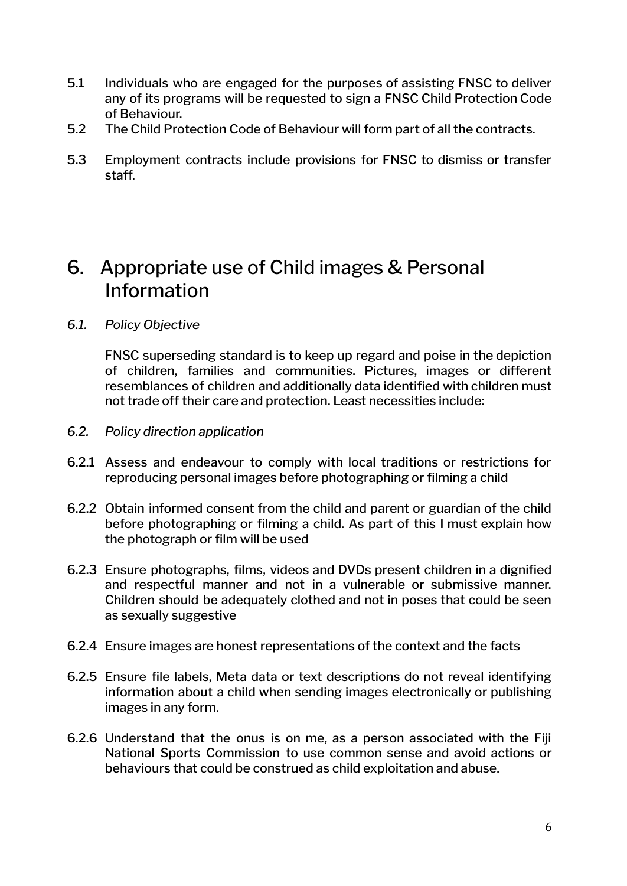- 5.1 Individuals who are engaged for the purposes of assisting FNSC to deliver any of its programs will be requested to sign a FNSC Child Protection Code of Behaviour.
- 5.2 The Child Protection Code of Behaviour will form part of all the contracts.
- 5.3 Employment contracts include provisions for FNSC to dismiss or transfer staff.

#### <span id="page-5-0"></span>6. Appropriate use of Child images & Personal Information

*6.1. Policy Objective*

FNSC superseding standard is to keep up regard and poise in the depiction of children, families and communities. Pictures, images or different resemblances of children and additionally data identified with children must not trade off their care and protection. Least necessities include:

- *6.2. Policy direction application*
- 6.2.1 Assess and endeavour to comply with local traditions or restrictions for reproducing personal images before photographing or filming a child
- 6.2.2 Obtain informed consent from the child and parent or guardian of the child before photographing or filming a child. As part of this I must explain how the photograph or film will be used
- 6.2.3 Ensure photographs, films, videos and DVDs present children in a dignified and respectful manner and not in a vulnerable or submissive manner. Children should be adequately clothed and not in poses that could be seen as sexually suggestive
- 6.2.4 Ensure images are honest representations of the context and the facts
- 6.2.5 Ensure file labels, Meta data or text descriptions do not reveal identifying information about a child when sending images electronically or publishing images in any form.
- 6.2.6 Understand that the onus is on me, as a person associated with the Fiji National Sports Commission to use common sense and avoid actions or behaviours that could be construed as child exploitation and abuse.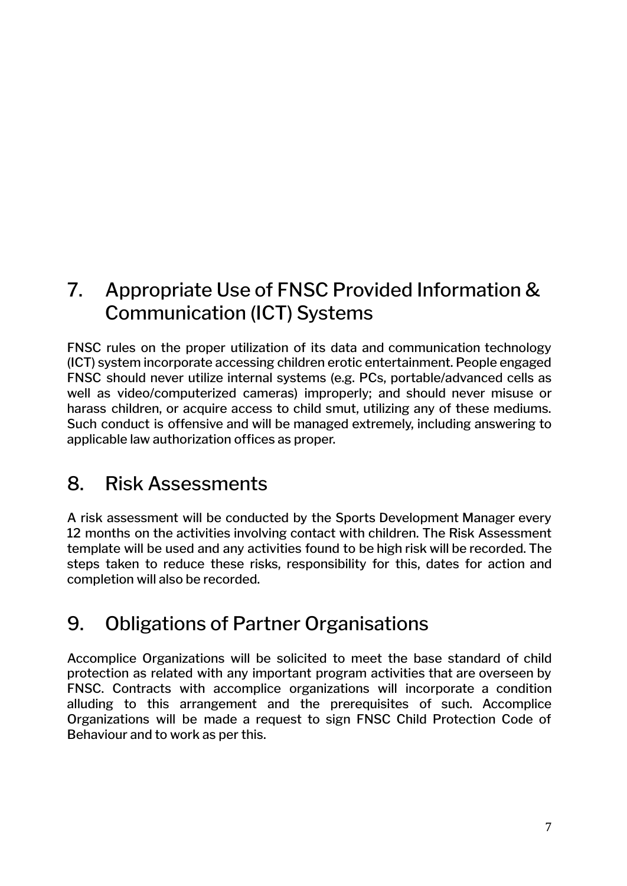### <span id="page-6-0"></span>7. Appropriate Use of FNSC Provided Information & Communication (ICT) Systems

FNSC rules on the proper utilization of its data and communication technology (ICT) system incorporate accessing children erotic entertainment. People engaged FNSC should never utilize internal systems (e.g. PCs, portable/advanced cells as well as video/computerized cameras) improperly; and should never misuse or harass children, or acquire access to child smut, utilizing any of these mediums. Such conduct is offensive and will be managed extremely, including answering to applicable law authorization offices as proper.

### <span id="page-6-1"></span>8. Risk Assessments

A risk assessment will be conducted by the Sports Development Manager every 12 months on the activities involving contact with children. The Risk Assessment template will be used and any activities found to be high risk will be recorded. The steps taken to reduce these risks, responsibility for this, dates for action and completion will also be recorded.

### <span id="page-6-2"></span>9. Obligations of Partner Organisations

Accomplice Organizations will be solicited to meet the base standard of child protection as related with any important program activities that are overseen by FNSC. Contracts with accomplice organizations will incorporate a condition alluding to this arrangement and the prerequisites of such. Accomplice Organizations will be made a request to sign FNSC Child Protection Code of Behaviour and to work as per this.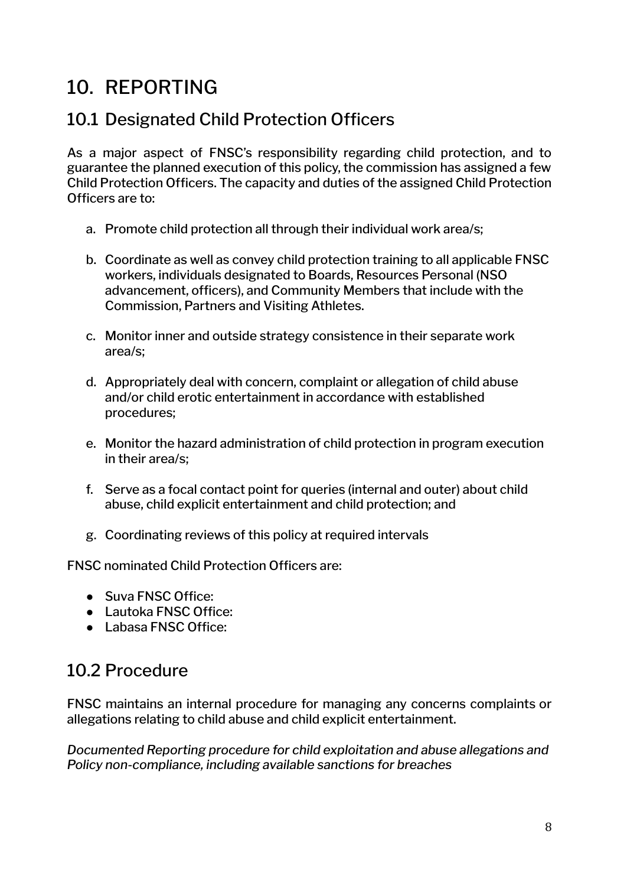### <span id="page-7-0"></span>10. REPORTING

#### <span id="page-7-1"></span>10.1 Designated Child Protection Officers

As a major aspect of FNSC's responsibility regarding child protection, and to guarantee the planned execution of this policy, the commission has assigned a few Child Protection Officers. The capacity and duties of the assigned Child Protection Officers are to:

- a. Promote child protection all through their individual work area/s;
- b. Coordinate as well as convey child protection training to all applicable FNSC workers, individuals designated to Boards, Resources Personal (NSO advancement, officers), and Community Members that include with the Commission, Partners and Visiting Athletes.
- c. Monitor inner and outside strategy consistence in their separate work area/s;
- d. Appropriately deal with concern, complaint or allegation of child abuse and/or child erotic entertainment in accordance with established procedures;
- e. Monitor the hazard administration of child protection in program execution in their area/s;
- f. Serve as a focal contact point for queries (internal and outer) about child abuse, child explicit entertainment and child protection; and
- g. Coordinating reviews of this policy at required intervals

FNSC nominated Child Protection Officers are:

- Suva FNSC Office:
- Lautoka FNSC Office:
- Labasa FNSC Office:

#### <span id="page-7-2"></span>10.2 Procedure

FNSC maintains an internal procedure for managing any concerns complaints or allegations relating to child abuse and child explicit entertainment.

*Documented Reporting procedure for child exploitation and abuse allegations and Policy non-compliance, including available sanctions for breaches*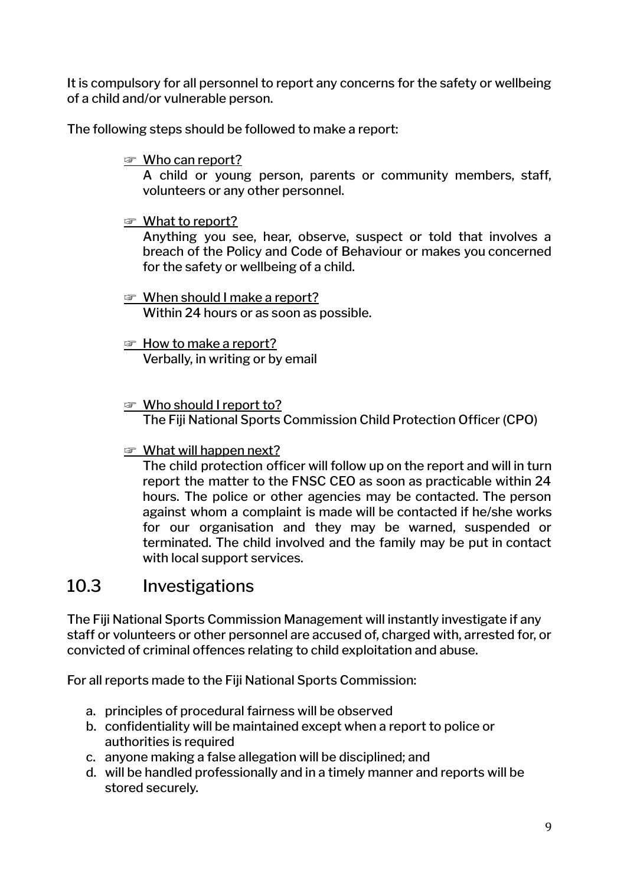It is compulsory for all personnel to report any concerns for the safety or wellbeing of a child and/or vulnerable person.

The following steps should be followed to make a report:

☞ Who can report?

A child or young person, parents or community members, staff, volunteers or any other personnel.

☞ What to report?

Anything you see, hear, observe, suspect or told that involves a breach of the Policy and Code of Behaviour or makes you concerned for the safety or wellbeing of a child.

- ☞ When should I make a report? Within 24 hours or as soon as possible.
- ☞ How to make a report? Verbally, in writing or by email
- ☞ Who should I report to? The Fiji National Sports Commission Child Protection Officer (CPO)
- ☞ What will happen next?

The child protection officer will follow up on the report and will in turn report the matter to the FNSC CEO as soon as practicable within 24 hours. The police or other agencies may be contacted. The person against whom a complaint is made will be contacted if he/she works for our organisation and they may be warned, suspended or terminated. The child involved and the family may be put in contact with local support services.

#### <span id="page-8-0"></span>10.3 Investigations

The Fiji National Sports Commission Management will instantly investigate if any staff or volunteers or other personnel are accused of, charged with, arrested for, or convicted of criminal offences relating to child exploitation and abuse.

For all reports made to the Fiji National Sports Commission:

- a. principles of procedural fairness will be observed
- b. confidentiality will be maintained except when a report to police or authorities is required
- c. anyone making a false allegation will be disciplined; and
- d. will be handled professionally and in a timely manner and reports will be stored securely.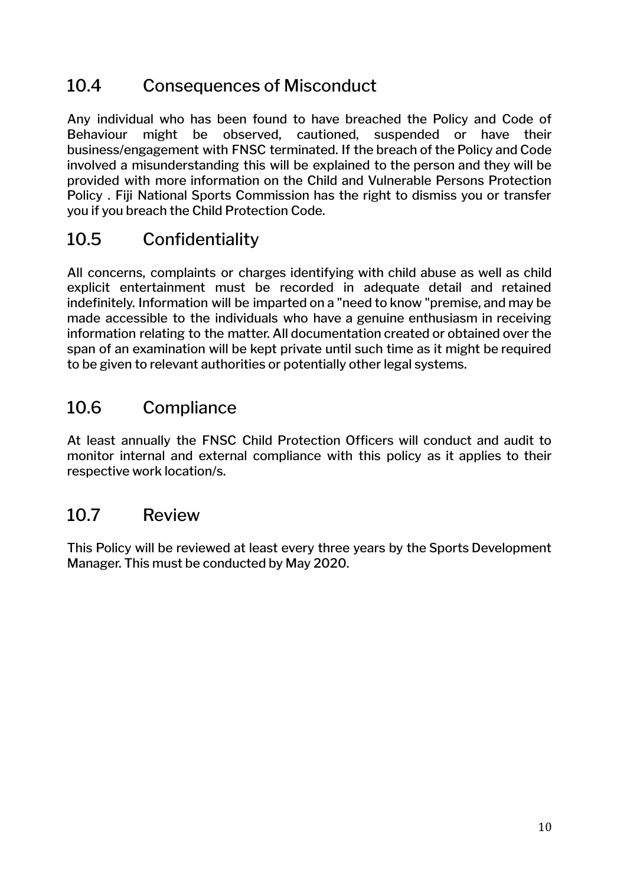#### <span id="page-9-0"></span>10.4 Consequences of Misconduct

Any individual who has been found to have breached the Policy and Code of Behaviour might be observed, cautioned, suspended or have their business/engagement with FNSC terminated. If the breach of the Policy and Code involved a misunderstanding this will be explained to the person and they will be provided with more information on the Child and Vulnerable Persons Protection Policy . Fiji National Sports Commission has the right to dismiss you or transfer you if you breach the Child Protection Code.

#### <span id="page-9-1"></span>10.5 Confidentiality

All concerns, complaints or charges identifying with child abuse as well as child explicit entertainment must be recorded in adequate detail and retained indefinitely. Information will be imparted on a "need to know "premise, and may be made accessible to the individuals who have a genuine enthusiasm in receiving information relating to the matter. All documentation created or obtained over the span of an examination will be kept private until such time as it might be required to be given to relevant authorities or potentially other legal systems.

#### <span id="page-9-2"></span>10.6 Compliance

At least annually the FNSC Child Protection Officers will conduct and audit to monitor internal and external compliance with this policy as it applies to their respective work location/s.

#### <span id="page-9-3"></span>10.7 Review

This Policy will be reviewed at least every three years by the Sports Development Manager. This must be conducted by May 2020.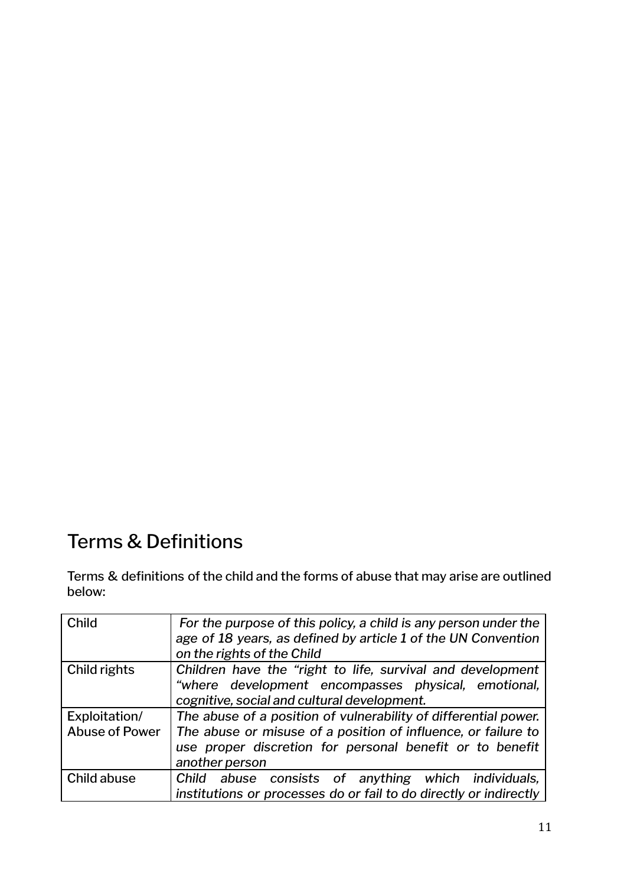### <span id="page-10-0"></span>Terms & Definitions

Terms & definitions of the child and the forms of abuse that may arise are outlined below:

| <b>Child</b>          | For the purpose of this policy, a child is any person under the<br>age of 18 years, as defined by article 1 of the UN Convention<br>on the rights of the Child |
|-----------------------|----------------------------------------------------------------------------------------------------------------------------------------------------------------|
|                       |                                                                                                                                                                |
| Child rights          | Children have the "right to life, survival and development                                                                                                     |
|                       | "where development encompasses physical, emotional,                                                                                                            |
|                       | cognitive, social and cultural development.                                                                                                                    |
| Exploitation/         | The abuse of a position of vulnerability of differential power.                                                                                                |
| <b>Abuse of Power</b> | The abuse or misuse of a position of influence, or failure to                                                                                                  |
|                       | use proper discretion for personal benefit or to benefit                                                                                                       |
|                       | another person                                                                                                                                                 |
| Child abuse           | Child abuse consists of anything which individuals,                                                                                                            |
|                       | institutions or processes do or fail to do directly or indirectly                                                                                              |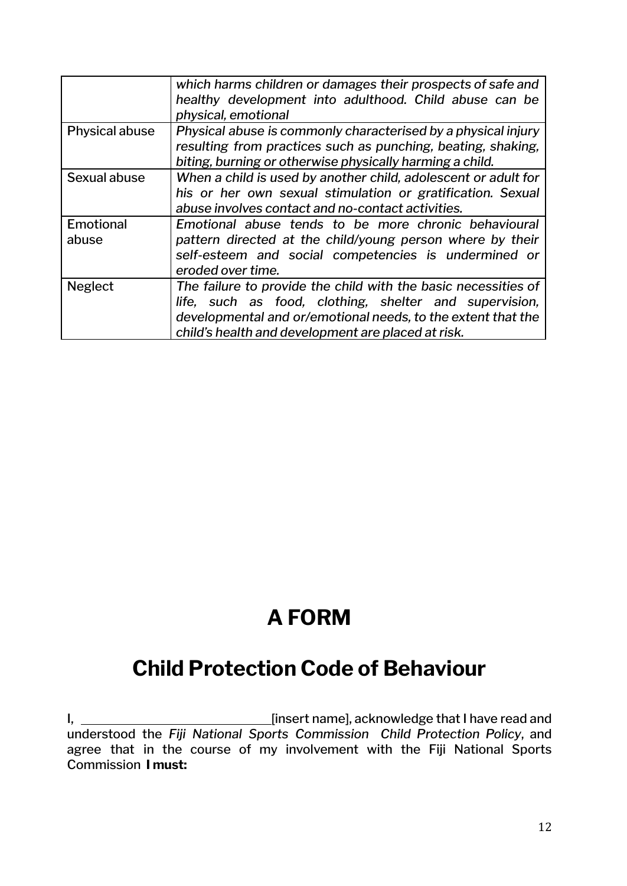|                | which harms children or damages their prospects of safe and    |
|----------------|----------------------------------------------------------------|
|                | healthy development into adulthood. Child abuse can be         |
|                | physical, emotional                                            |
| Physical abuse | Physical abuse is commonly characterised by a physical injury  |
|                | resulting from practices such as punching, beating, shaking,   |
|                | biting, burning or otherwise physically harming a child.       |
| Sexual abuse   | When a child is used by another child, adolescent or adult for |
|                | his or her own sexual stimulation or gratification. Sexual     |
|                | abuse involves contact and no-contact activities.              |
| Emotional      | Emotional abuse tends to be more chronic behavioural           |
| abuse          | pattern directed at the child/young person where by their      |
|                | self-esteem and social competencies is undermined or           |
|                | eroded over time.                                              |
| <b>Neglect</b> | The failure to provide the child with the basic necessities of |
|                | life, such as food, clothing, shelter and supervision,         |
|                | developmental and or/emotional needs, to the extent that the   |
|                | child's health and development are placed at risk.             |

# **A FORM**

### <span id="page-11-1"></span><span id="page-11-0"></span>**Child Protection Code of Behaviour**

I, [insert name], acknowledge that I have read and understood the *Fiji National Sports Commission Child Protection Policy*, and agree that in the course of my involvement with the Fiji National Sports Commission **I must:**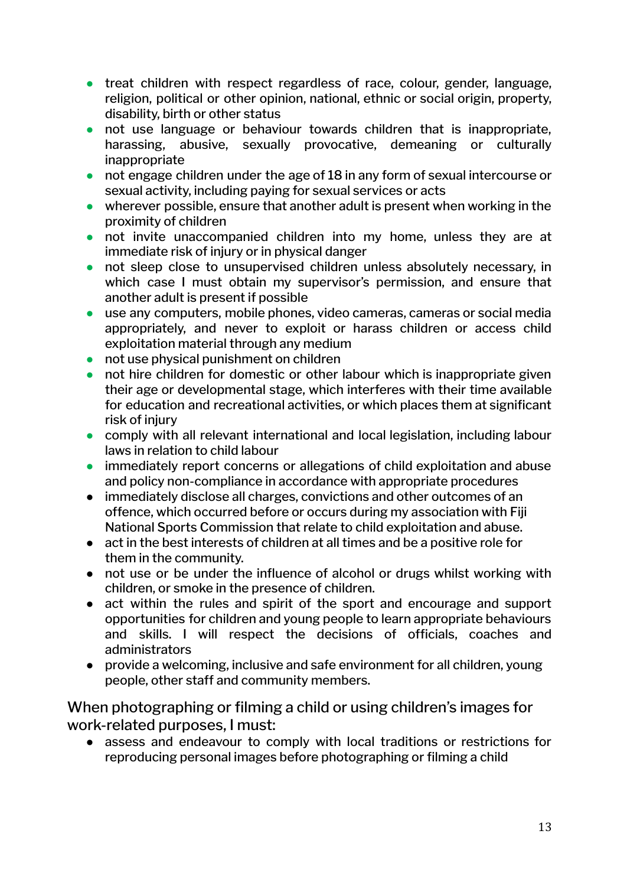- **●** treat children with respect regardless of race, colour, gender, language, religion, political or other opinion, national, ethnic or social origin, property, disability, birth or other status
- **●** not use language or behaviour towards children that is inappropriate, harassing, abusive, sexually provocative, demeaning or culturally inappropriate
- **●** not engage children under the age of 18 in any form of sexual intercourse or sexual activity, including paying for sexual services or acts
- **●** wherever possible, ensure that another adult is present when working in the proximity of children
- **●** not invite unaccompanied children into my home, unless they are at immediate risk of injury or in physical danger
- **●** not sleep close to unsupervised children unless absolutely necessary, in which case I must obtain my supervisor's permission, and ensure that another adult is present if possible
- **●** use any computers, mobile phones, video cameras, cameras or social media appropriately, and never to exploit or harass children or access child exploitation material through any medium
- not use physical punishment on children
- **●** not hire children for domestic or other labour which is inappropriate given their age or developmental stage, which interferes with their time available for education and recreational activities, or which places them at significant risk of injury
- **●** comply with all relevant international and local legislation, including labour laws in relation to child labour
- **●** immediately report concerns or allegations of child exploitation and abuse and policy non-compliance in accordance with appropriate procedures
- immediately disclose all charges, convictions and other outcomes of an offence, which occurred before or occurs during my association with Fiji National Sports Commission that relate to child exploitation and abuse.
- act in the best interests of children at all times and be a positive role for them in the community.
- **●** not use or be under the influence of alcohol or drugs whilst working with children, or smoke in the presence of children.
- **●** act within the rules and spirit of the sport and encourage and support opportunities for children and young people to learn appropriate behaviours and skills. I will respect the decisions of officials, coaches and administrators
- provide a welcoming, inclusive and safe environment for all children, young people, other staff and community members.

<span id="page-12-0"></span>When photographing or filming a child or using children's images for work-related purposes, I must:

**●** assess and endeavour to comply with local traditions or restrictions for reproducing personal images before photographing or filming a child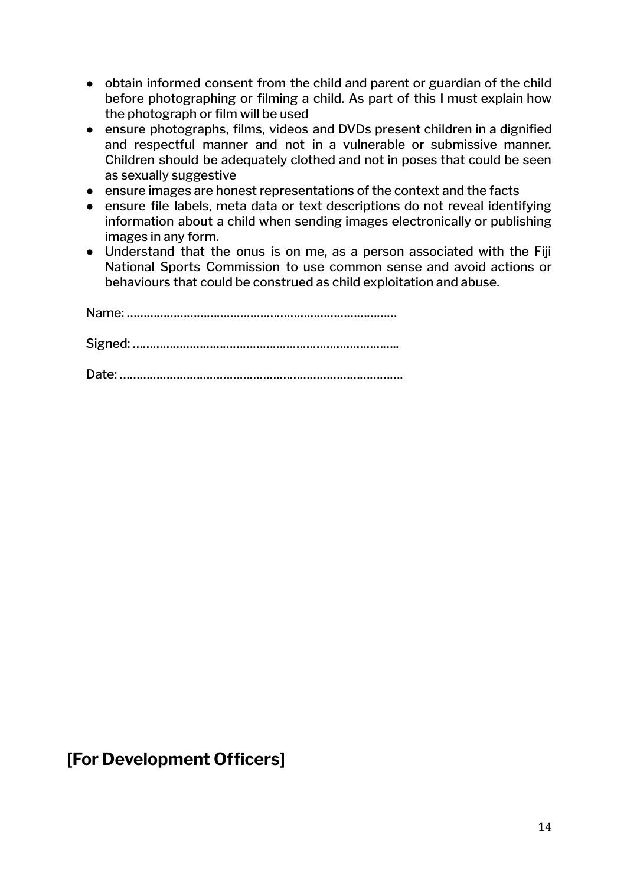- **●** obtain informed consent from the child and parent or guardian of the child before photographing or filming a child. As part of this I must explain how the photograph or film will be used
- **●** ensure photographs, films, videos and DVDs present children in a dignified and respectful manner and not in a vulnerable or submissive manner. Children should be adequately clothed and not in poses that could be seen as sexually suggestive
- **●** ensure images are honest representations of the context and the facts
- **●** ensure file labels, meta data or text descriptions do not reveal identifying information about a child when sending images electronically or publishing images in any form.
- **●** Understand that the onus is on me, as a person associated with the Fiji National Sports Commission to use common sense and avoid actions or behaviours that could be construed as child exploitation and abuse.

Name: ……………………………………………………………………… Signed: …………………………………………………………………….. Date: ………………………………………………………………………….

#### **[For Development Officers]**